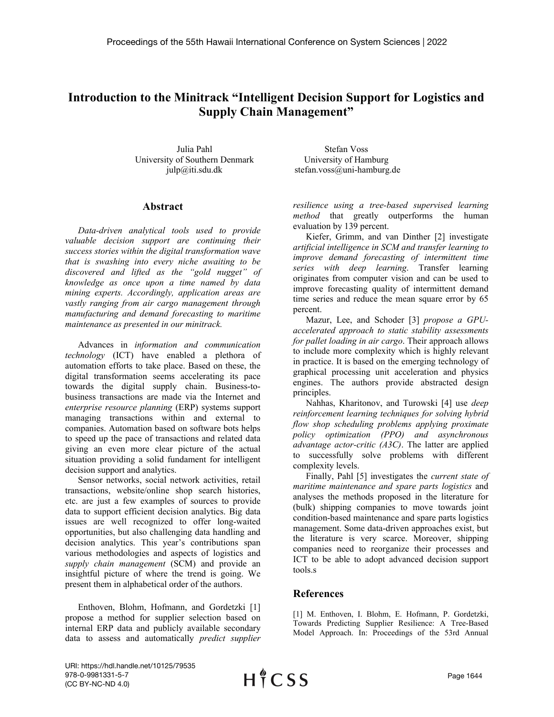## **Introduction to the Minitrack "Intelligent Decision Support for Logistics and Supply Chain Management"**

Julia Pahl University of Southern Denmark julp@iti.sdu.dk

Stefan Voss University of Hamburg stefan.voss@uni-hamburg.de

## **Abstract**

*Data-driven analytical tools used to provide valuable decision support are continuing their success stories within the digital transformation wave that is swashing into every niche awaiting to be discovered and lifted as the "gold nugget" of knowledge as once upon a time named by data mining experts. Accordingly, application areas are vastly ranging from air cargo management through manufacturing and demand forecasting to maritime maintenance as presented in our minitrack.* 

Advances in *information and communication technology* (ICT) have enabled a plethora of automation efforts to take place. Based on these, the digital transformation seems accelerating its pace towards the digital supply chain. Business-tobusiness transactions are made via the Internet and *enterprise resource planning* (ERP) systems support managing transactions within and external to companies. Automation based on software bots helps to speed up the pace of transactions and related data giving an even more clear picture of the actual situation providing a solid fundament for intelligent decision support and analytics.

Sensor networks, social network activities, retail transactions, website/online shop search histories, etc. are just a few examples of sources to provide data to support efficient decision analytics. Big data issues are well recognized to offer long-waited opportunities, but also challenging data handling and decision analytics. This year's contributions span various methodologies and aspects of logistics and *supply chain management* (SCM) and provide an insightful picture of where the trend is going. We present them in alphabetical order of the authors.

Enthoven, Blohm, Hofmann, and Gordetzki [1] propose a method for supplier selection based on internal ERP data and publicly available secondary data to assess and automatically *predict supplier* 

*resilience using a tree-based supervised learning method* that greatly outperforms the human evaluation by 139 percent.

Kiefer, Grimm, and van Dinther [2] investigate *artificial intelligence in SCM and transfer learning to improve demand forecasting of intermittent time series with deep learning*. Transfer learning originates from computer vision and can be used to improve forecasting quality of intermittent demand time series and reduce the mean square error by 65 percent.

Mazur, Lee, and Schoder [3] *propose a GPUaccelerated approach to static stability assessments for pallet loading in air cargo*. Their approach allows to include more complexity which is highly relevant in practice. It is based on the emerging technology of graphical processing unit acceleration and physics engines. The authors provide abstracted design principles.

Nahhas, Kharitonov, and Turowski [4] use *deep reinforcement learning techniques for solving hybrid flow shop scheduling problems applying proximate policy optimization (PPO) and asynchronous advantage actor-critic (A3C)*. The latter are applied to successfully solve problems with different complexity levels.

Finally, Pahl [5] investigates the *current state of maritime maintenance and spare parts logistics* and analyses the methods proposed in the literature for (bulk) shipping companies to move towards joint condition-based maintenance and spare parts logistics management. Some data-driven approaches exist, but the literature is very scarce. Moreover, shipping companies need to reorganize their processes and ICT to be able to adopt advanced decision support tools.s

## **References**

[1] M. Enthoven, I. Blohm, E. Hofmann, P. Gordetzki, Towards Predicting Supplier Resilience: A Tree-Based Model Approach. In: Proceedings of the 53rd Annual

URI: https://hdl.handle.net/10125/79535 978-0-9981331-5-7 (CC BY-NC-ND 4.0)